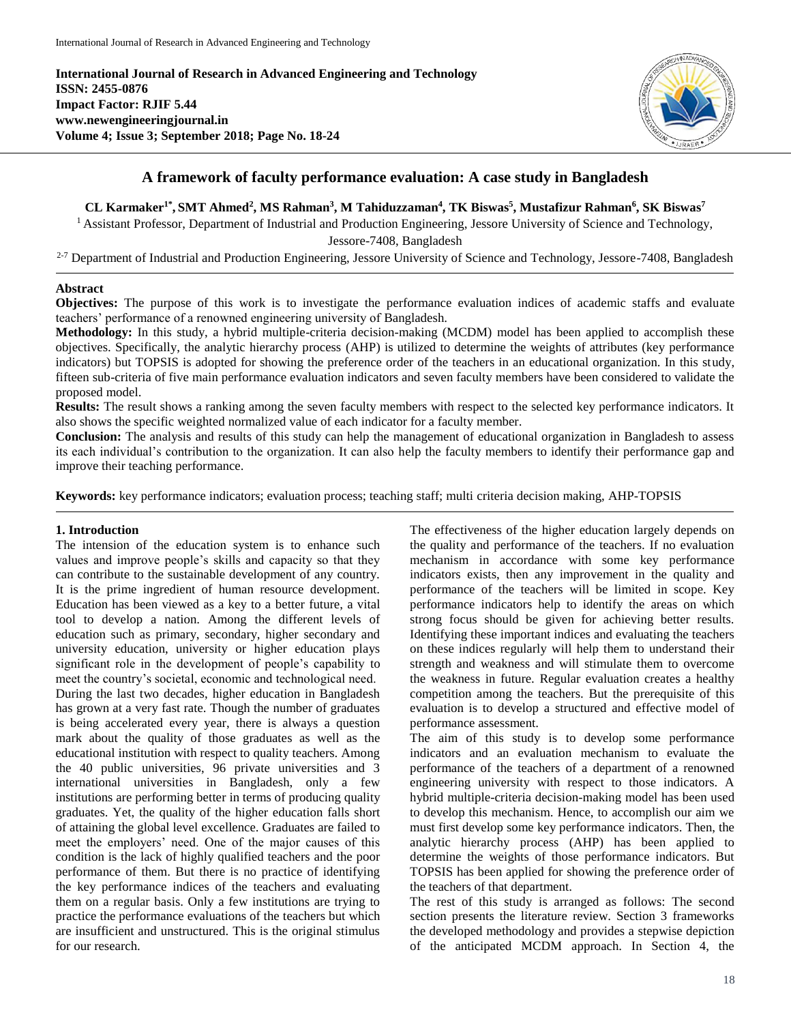**International Journal of Research in Advanced Engineering and Technology ISSN: 2455-0876 Impact Factor: RJIF 5.44 www.newengineeringjournal.in Volume 4; Issue 3; September 2018; Page No. 18-24**



# **A framework of faculty performance evaluation: A case study in Bangladesh**

## CL Karmaker<sup>1\*</sup>, SMT Ahmed<sup>2</sup>, MS Rahman<sup>3</sup>, M Tahiduzzaman<sup>4</sup>, TK Biswas<sup>5</sup>, Mustafizur Rahman<sup>6</sup>, SK Biswas<sup>7</sup>

<sup>1</sup> Assistant Professor, Department of Industrial and Production Engineering, Jessore University of Science and Technology, Jessore-7408, Bangladesh

<sup>2-7</sup> Department of Industrial and Production Engineering, Jessore University of Science and Technology, Jessore-7408, Bangladesh

## **Abstract**

**Objectives:** The purpose of this work is to investigate the performance evaluation indices of academic staffs and evaluate teachers' performance of a renowned engineering university of Bangladesh.

**Methodology:** In this study, a hybrid multiple-criteria decision-making (MCDM) model has been applied to accomplish these objectives. Specifically, the analytic hierarchy process (AHP) is utilized to determine the weights of attributes (key performance indicators) but TOPSIS is adopted for showing the preference order of the teachers in an educational organization. In this study, fifteen sub-criteria of five main performance evaluation indicators and seven faculty members have been considered to validate the proposed model.

**Results:** The result shows a ranking among the seven faculty members with respect to the selected key performance indicators. It also shows the specific weighted normalized value of each indicator for a faculty member.

**Conclusion:** The analysis and results of this study can help the management of educational organization in Bangladesh to assess its each individual's contribution to the organization. It can also help the faculty members to identify their performance gap and improve their teaching performance.

**Keywords:** key performance indicators; evaluation process; teaching staff; multi criteria decision making, AHP-TOPSIS

## **1. Introduction**

The intension of the education system is to enhance such values and improve people's skills and capacity so that they can contribute to the sustainable development of any country. It is the prime ingredient of human resource development. Education has been viewed as a key to a better future, a vital tool to develop a nation. Among the different levels of education such as primary, secondary, higher secondary and university education, university or higher education plays significant role in the development of people's capability to meet the country's societal, economic and technological need. During the last two decades, higher education in Bangladesh has grown at a very fast rate. Though the number of graduates is being accelerated every year, there is always a question mark about the quality of those graduates as well as the educational institution with respect to quality teachers. Among the 40 public universities, 96 private universities and 3 international universities in Bangladesh, only a few institutions are performing better in terms of producing quality graduates. Yet, the quality of the higher education falls short of attaining the global level excellence. Graduates are failed to meet the employers' need. One of the major causes of this condition is the lack of highly qualified teachers and the poor performance of them. But there is no practice of identifying the key performance indices of the teachers and evaluating them on a regular basis. Only a few institutions are trying to practice the performance evaluations of the teachers but which are insufficient and unstructured. This is the original stimulus for our research.

The effectiveness of the higher education largely depends on the quality and performance of the teachers. If no evaluation mechanism in accordance with some key performance indicators exists, then any improvement in the quality and performance of the teachers will be limited in scope. Key performance indicators help to identify the areas on which strong focus should be given for achieving better results. Identifying these important indices and evaluating the teachers on these indices regularly will help them to understand their strength and weakness and will stimulate them to overcome the weakness in future. Regular evaluation creates a healthy competition among the teachers. But the prerequisite of this evaluation is to develop a structured and effective model of performance assessment.

The aim of this study is to develop some performance indicators and an evaluation mechanism to evaluate the performance of the teachers of a department of a renowned engineering university with respect to those indicators. A hybrid multiple-criteria decision-making model has been used to develop this mechanism. Hence, to accomplish our aim we must first develop some key performance indicators. Then, the analytic hierarchy process (AHP) has been applied to determine the weights of those performance indicators. But TOPSIS has been applied for showing the preference order of the teachers of that department.

The rest of this study is arranged as follows: The second section presents the literature review. Section 3 frameworks the developed methodology and provides a stepwise depiction of the anticipated MCDM approach. In Section 4, the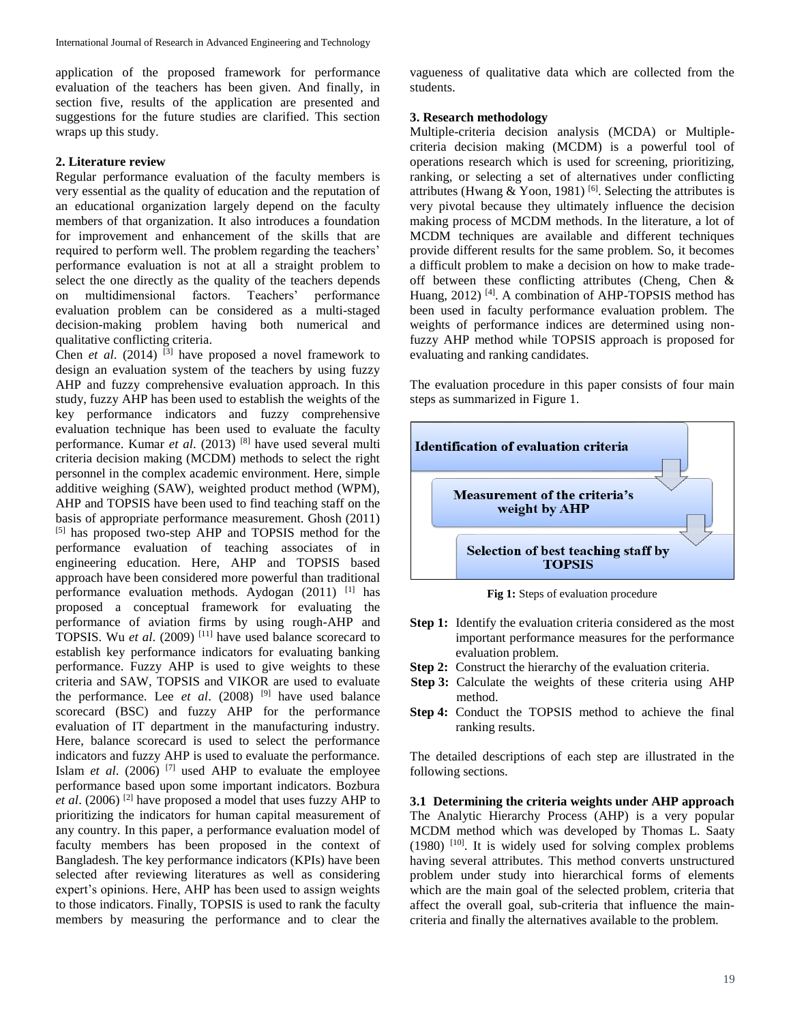application of the proposed framework for performance evaluation of the teachers has been given. And finally, in section five, results of the application are presented and suggestions for the future studies are clarified. This section wraps up this study.

## **2. Literature review**

Regular performance evaluation of the faculty members is very essential as the quality of education and the reputation of an educational organization largely depend on the faculty members of that organization. It also introduces a foundation for improvement and enhancement of the skills that are required to perform well. The problem regarding the teachers' performance evaluation is not at all a straight problem to select the one directly as the quality of the teachers depends on multidimensional factors. Teachers' performance evaluation problem can be considered as a multi-staged decision-making problem having both numerical and qualitative conflicting criteria.

Chen *et al.* (2014) <sup>[3]</sup> have proposed a novel framework to design an evaluation system of the teachers by using fuzzy AHP and fuzzy comprehensive evaluation approach. In this study, fuzzy AHP has been used to establish the weights of the key performance indicators and fuzzy comprehensive evaluation technique has been used to evaluate the faculty performance. Kumar *et al*. (2013) [8] have used several multi criteria decision making (MCDM) methods to select the right personnel in the complex academic environment. Here, simple additive weighing (SAW), weighted product method (WPM), AHP and TOPSIS have been used to find teaching staff on the basis of appropriate performance measurement. Ghosh (2011) [5] has proposed two-step AHP and TOPSIS method for the performance evaluation of teaching associates of in engineering education. Here, AHP and TOPSIS based approach have been considered more powerful than traditional performance evaluation methods. Aydogan  $(2011)$ <sup>[1]</sup> has proposed a conceptual framework for evaluating the performance of aviation firms by using rough-AHP and TOPSIS. Wu *et al*. (2009) [11] have used balance scorecard to establish key performance indicators for evaluating banking performance. Fuzzy AHP is used to give weights to these criteria and SAW, TOPSIS and VIKOR are used to evaluate the performance. Lee *et al.* (2008) <sup>[9]</sup> have used balance scorecard (BSC) and fuzzy AHP for the performance evaluation of IT department in the manufacturing industry. Here, balance scorecard is used to select the performance indicators and fuzzy AHP is used to evaluate the performance. Islam *et al*. (2006) [7] used AHP to evaluate the employee performance based upon some important indicators. Bozbura *et al*. (2006) [2] have proposed a model that uses fuzzy AHP to prioritizing the indicators for human capital measurement of any country. In this paper, a performance evaluation model of faculty members has been proposed in the context of Bangladesh. The key performance indicators (KPIs) have been selected after reviewing literatures as well as considering expert's opinions. Here, AHP has been used to assign weights to those indicators. Finally, TOPSIS is used to rank the faculty members by measuring the performance and to clear the

vagueness of qualitative data which are collected from the students.

#### **3. Research methodology**

Multiple-criteria decision analysis (MCDA) or Multiplecriteria decision making (MCDM) is a powerful tool of operations research which is used for screening, prioritizing, ranking, or selecting a set of alternatives under conflicting attributes (Hwang & Yoon, 1981) <sup>[6]</sup>. Selecting the attributes is very pivotal because they ultimately influence the decision making process of MCDM methods. In the literature, a lot of MCDM techniques are available and different techniques provide different results for the same problem. So, it becomes a difficult problem to make a decision on how to make tradeoff between these conflicting attributes (Cheng, Chen & Huang,  $2012$ )<sup>[4]</sup>. A combination of AHP-TOPSIS method has been used in faculty performance evaluation problem. The weights of performance indices are determined using nonfuzzy AHP method while TOPSIS approach is proposed for evaluating and ranking candidates.

The evaluation procedure in this paper consists of four main steps as summarized in Figure 1.



**Fig 1:** Steps of evaluation procedure

- **Step 1:** Identify the evaluation criteria considered as the most important performance measures for the performance evaluation problem.
- **Step 2:** Construct the hierarchy of the evaluation criteria.
- **Step 3:** Calculate the weights of these criteria using AHP method.
- **Step 4:** Conduct the TOPSIS method to achieve the final ranking results.

The detailed descriptions of each step are illustrated in the following sections.

**3.1 Determining the criteria weights under AHP approach** The Analytic Hierarchy Process (AHP) is a very popular MCDM method which was developed by Thomas L. Saaty  $(1980)$  <sup>[10]</sup>. It is widely used for solving complex problems having several attributes. This method converts unstructured problem under study into hierarchical forms of elements which are the main goal of the selected problem, criteria that affect the overall goal, sub-criteria that influence the maincriteria and finally the alternatives available to the problem.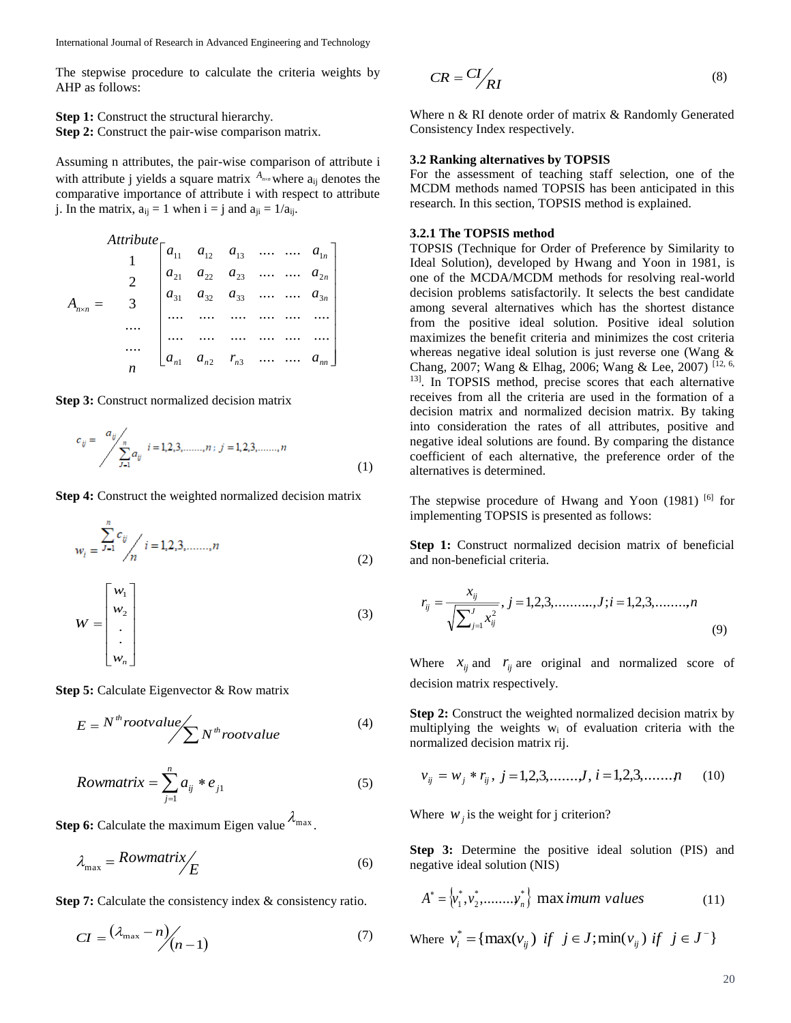The stepwise procedure to calculate the criteria weights by AHP as follows:

**Step 1:** Construct the structural hierarchy. **Step 2:** Construct the pair-wise comparison matrix.

Assuming n attributes, the pair-wise comparison of attribute i with attribute j yields a square matrix  $A_{n \times n}$  where  $a_{ij}$  denotes the comparative importance of attribute i with respect to attribute j. In the matrix,  $a_{ij} = 1$  when  $i = j$  and  $a_{ji} = 1/a_{ij}$ .

*Attribute*  
\n
$$
A_{n \times n} = \begin{bmatrix}\na_{11} & a_{12} & a_{13} & \dots & a_{1n} \\
2 & a_{21} & a_{22} & a_{23} & \dots & a_{2n} \\
a_{31} & a_{32} & a_{33} & \dots & a_{3n} \\
\vdots & \vdots & \vdots & \ddots & \vdots \\
a_{n1} & a_{n2} & r_{n3} & \dots & \dots & a_{nn}\n\end{bmatrix}
$$

**Step 3:** Construct normalized decision matrix

$$
c_{ij} = \frac{a_{ij}}{\sum_{j=1}^{n} a_{ij}} i = 1, 2, 3, \dots, n; j = 1, 2, 3, \dots, n
$$
\n(1)

**Step 4:** Construct the weighted normalized decision matrix

$$
w_i = \frac{\sum_{j=1}^{n} c_{ij}}{n} \quad i = 1, 2, 3, \dots, n \tag{2}
$$

$$
W = \begin{bmatrix} w_1 \\ w_2 \\ \vdots \\ w_n \end{bmatrix}
$$
 (3)

**Step 5:** Calculate Eigenvector & Row matrix

$$
E = N^{th} root value \bigg\{\bigg\} N^{th} root value \tag{4}
$$

$$
Rowmatrix = \sum_{j=1}^{n} a_{ij} * e_{j1}
$$
 (5)

**Step 6:** Calculate the maximum Eigen value  $\lambda_{\text{max}}$ .

$$
\lambda_{\text{max}} = \text{Rowmatrix} / \text{E} \tag{6}
$$

**Step 7:** Calculate the consistency index & consistency ratio.

$$
CI = \frac{(\lambda_{\text{max}} - n)}{n-1}
$$
 (7)

$$
CR = CI / \frac{C}{RI}
$$
 (8)

Where n & RI denote order of matrix & Randomly Generated Consistency Index respectively.

#### **3.2 Ranking alternatives by TOPSIS**

For the assessment of teaching staff selection, one of the MCDM methods named TOPSIS has been anticipated in this research. In this section, TOPSIS method is explained.

#### **3.2.1 The TOPSIS method**

TOPSIS (Technique for Order of Preference by Similarity to Ideal Solution), developed by Hwang and Yoon in 1981, is one of the MCDA/MCDM methods for resolving real-world decision problems satisfactorily. It selects the best candidate among several alternatives which has the shortest distance from the positive ideal solution. Positive ideal solution maximizes the benefit criteria and minimizes the cost criteria whereas negative ideal solution is just reverse one (Wang & Chang, 2007; Wang & Elhag, 2006; Wang & Lee, 2007) [12, 6, 13] . In TOPSIS method, precise scores that each alternative receives from all the criteria are used in the formation of a decision matrix and normalized decision matrix. By taking into consideration the rates of all attributes, positive and negative ideal solutions are found. By comparing the distance coefficient of each alternative, the preference order of the alternatives is determined.

The stepwise procedure of Hwang and Yoon  $(1981)$  <sup>[6]</sup> for implementing TOPSIS is presented as follows:

**Step 1:** Construct normalized decision matrix of beneficial and non-beneficial criteria.

$$
r_{ij} = \frac{x_{ij}}{\sqrt{\sum_{j=1}^{J} x_{ij}^2}}, j = 1, 2, 3, \dots, J; i = 1, 2, 3, \dots, n
$$
\n(9)

Where  $x_{ij}$  and  $r_{ij}$  are original and normalized score of decision matrix respectively.

**Step 2:** Construct the weighted normalized decision matrix by multiplying the weights w<sup>i</sup> of evaluation criteria with the normalized decision matrix rij.

$$
v_{ij} = w_j * r_{ij}, \ j = 1, 2, 3, \dots, J, \ i = 1, 2, 3, \dots, n \tag{10}
$$

Where  $w_j$  is the weight for j criterion?

**Step 3:** Determine the positive ideal solution (PIS) and negative ideal solution (NIS)

$$
A^* = \{v_1^*, v_2^*, \dots, v_n^*\} \text{ max } \text{imum } \text{values} \tag{11}
$$

Where 
$$
v_i^* = \{ \max(v_{ij}) \text{ if } j \in J; \min(v_{ij}) \text{ if } j \in J^- \}
$$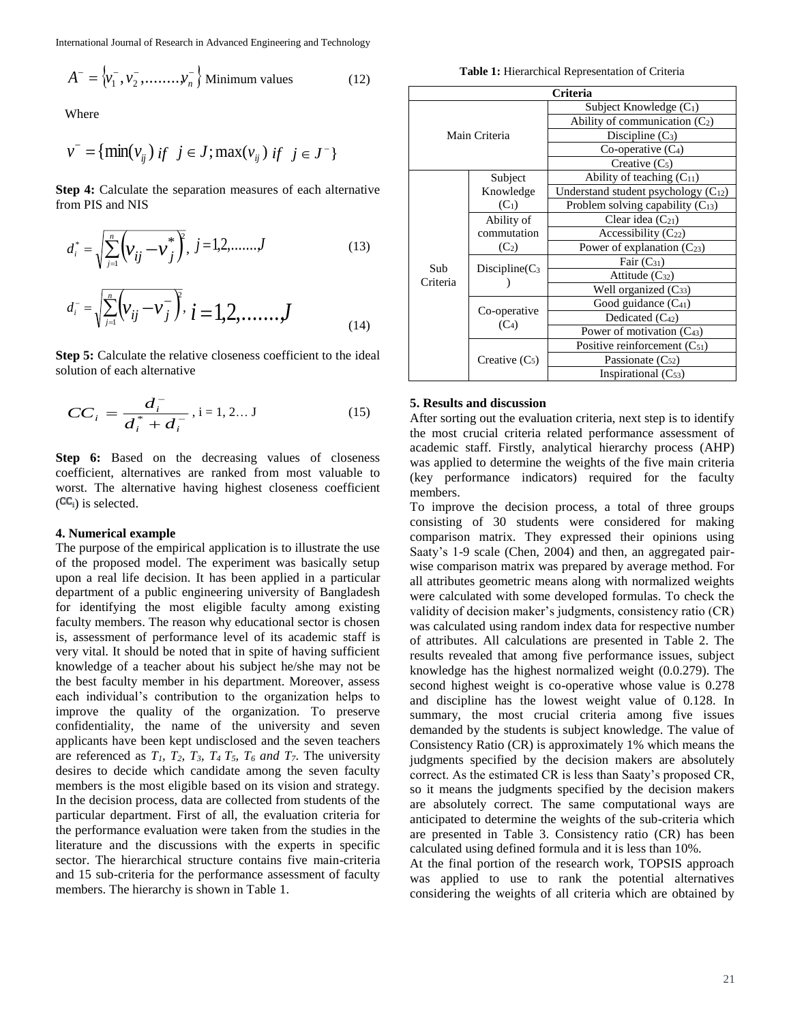International Journal of Research in Advanced Engineering and Technology

$$
A^{-} = \left\{ v_1^{-}, v_2^{-}, \dots, v_n^{-} \right\} \text{Minimum values} \tag{12}
$$

Where

$$
v^- = \{ \min(v_{ij}) \text{ if } j \in J; \max(v_{ij}) \text{ if } j \in J^- \}
$$

**Step 4:** Calculate the separation measures of each alternative from PIS and NIS

$$
d_i^* = \sqrt{\sum_{j=1}^n \left(\nu_{ij} - \nu_j^*\right)^2}, \ j = 1, 2, \dots, J \tag{13}
$$

$$
d_i^- = \sqrt{\sum_{j=1}^n \left(\nu_{ij} - \nu_j^-\right)^2}, \ i = 1, 2, \dots, J \tag{14}
$$

**Step 5:** Calculate the relative closeness coefficient to the ideal solution of each alternative

$$
CC_i = \frac{d_i^-}{d_i^* + d_i^-}, i = 1, 2... J
$$
 (15)

**Step 6:** Based on the decreasing values of closeness coefficient, alternatives are ranked from most valuable to worst. The alternative having highest closeness coefficient  $(CC_i)$  is selected.

#### **4. Numerical example**

The purpose of the empirical application is to illustrate the use of the proposed model. The experiment was basically setup upon a real life decision. It has been applied in a particular department of a public engineering university of Bangladesh for identifying the most eligible faculty among existing faculty members. The reason why educational sector is chosen is, assessment of performance level of its academic staff is very vital. It should be noted that in spite of having sufficient knowledge of a teacher about his subject he/she may not be the best faculty member in his department. Moreover, assess each individual's contribution to the organization helps to improve the quality of the organization. To preserve confidentiality, the name of the university and seven applicants have been kept undisclosed and the seven teachers are referenced as  $T_1$ ,  $T_2$ ,  $T_3$ ,  $T_4$ ,  $T_5$ ,  $T_6$  *and*  $T_7$ . The university desires to decide which candidate among the seven faculty members is the most eligible based on its vision and strategy. In the decision process, data are collected from students of the particular department. First of all, the evaluation criteria for the performance evaluation were taken from the studies in the literature and the discussions with the experts in specific sector. The hierarchical structure contains five main-criteria and 15 sub-criteria for the performance assessment of faculty members. The hierarchy is shown in Table 1.

**Table 1:** Hierarchical Representation of Criteria

| Criteria |                         |                                               |  |  |  |  |  |  |
|----------|-------------------------|-----------------------------------------------|--|--|--|--|--|--|
|          |                         | Subject Knowledge $(C_1)$                     |  |  |  |  |  |  |
|          |                         | Ability of communication $(C_2)$              |  |  |  |  |  |  |
|          | Main Criteria           | Discipline $(C_3)$                            |  |  |  |  |  |  |
|          |                         | Co-operative $(C_4)$                          |  |  |  |  |  |  |
|          |                         | Creative $(C_5)$                              |  |  |  |  |  |  |
|          | Subject                 | Ability of teaching $(C_{11})$                |  |  |  |  |  |  |
|          | Knowledge               | Understand student psychology $(C_{12})$      |  |  |  |  |  |  |
|          | $(C_1)$                 | Problem solving capability (C <sub>13</sub> ) |  |  |  |  |  |  |
|          | Ability of              | Clear idea $(C_{21})$                         |  |  |  |  |  |  |
|          | commutation             | Accessibility $(C_{22})$                      |  |  |  |  |  |  |
|          | $(C_2)$                 | Power of explanation $(C_{23})$               |  |  |  |  |  |  |
| Sub      | $Discipher(C_3)$        | Fair $(C_{31})$                               |  |  |  |  |  |  |
| Criteria |                         | Attitude (C32)                                |  |  |  |  |  |  |
|          |                         | Well organized $(C_{33})$                     |  |  |  |  |  |  |
|          |                         | Good guidance $(C_{41})$                      |  |  |  |  |  |  |
|          | Co-operative<br>$(C_4)$ | Dedicated (C <sub>42</sub> )                  |  |  |  |  |  |  |
|          |                         | Power of motivation $(C_{43})$                |  |  |  |  |  |  |
|          |                         | Positive reinforcement $(C_{51})$             |  |  |  |  |  |  |
|          | Creative $(C_5)$        | Passionate $(C_{52})$                         |  |  |  |  |  |  |
|          |                         | Inspirational $(C_{53})$                      |  |  |  |  |  |  |

#### **5. Results and discussion**

After sorting out the evaluation criteria, next step is to identify the most crucial criteria related performance assessment of academic staff. Firstly, analytical hierarchy process (AHP) was applied to determine the weights of the five main criteria (key performance indicators) required for the faculty members.

 $\left|\psi_1, \psi_2, \ldots, \ldots, \psi_n\right\rangle$  We show the specific of the specific control in the specific of the specific of the specific of the specific of the specific of the specific of the specific of the specific of the specific of To improve the decision process, a total of three groups consisting of 30 students were considered for making comparison matrix. They expressed their opinions using Saaty's 1-9 scale (Chen, 2004) and then, an aggregated pairwise comparison matrix was prepared by average method. For all attributes geometric means along with normalized weights were calculated with some developed formulas. To check the validity of decision maker's judgments, consistency ratio (CR) was calculated using random index data for respective number of attributes. All calculations are presented in Table 2. The results revealed that among five performance issues, subject knowledge has the highest normalized weight (0.0.279). The second highest weight is co-operative whose value is 0.278 and discipline has the lowest weight value of 0.128. In summary, the most crucial criteria among five issues demanded by the students is subject knowledge. The value of Consistency Ratio (CR) is approximately 1% which means the judgments specified by the decision makers are absolutely correct. As the estimated CR is less than Saaty's proposed CR, so it means the judgments specified by the decision makers are absolutely correct. The same computational ways are anticipated to determine the weights of the sub-criteria which are presented in Table 3. Consistency ratio (CR) has been calculated using defined formula and it is less than 10%.

At the final portion of the research work, TOPSIS approach was applied to use to rank the potential alternatives considering the weights of all criteria which are obtained by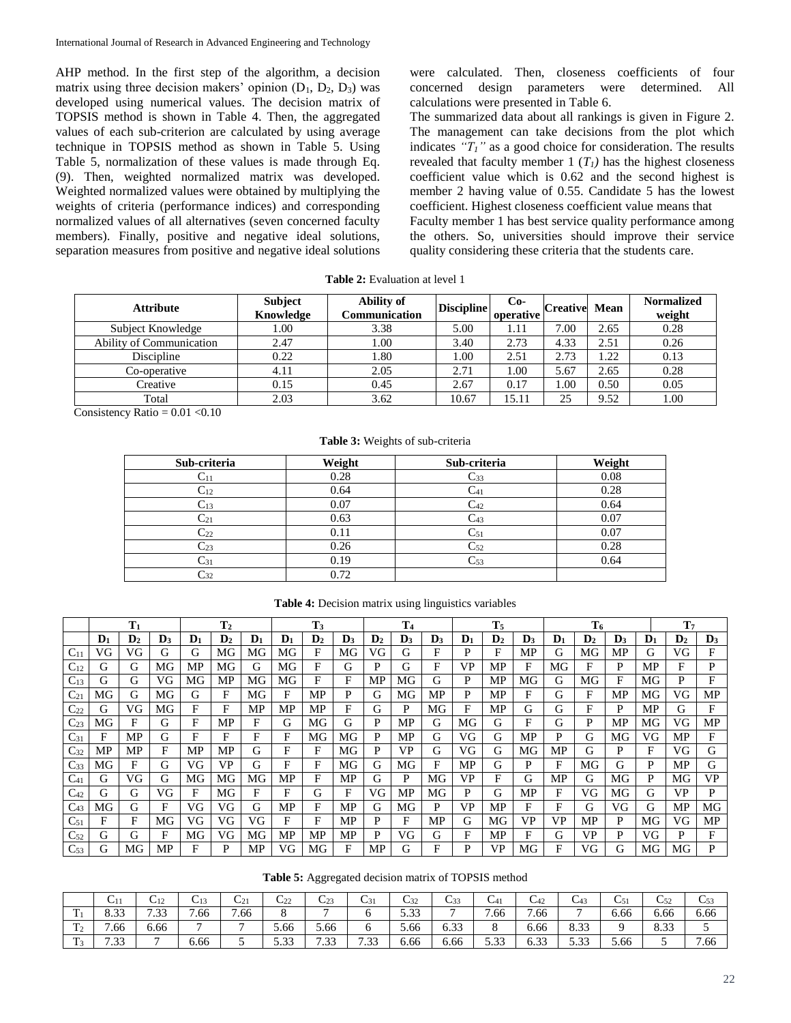AHP method. In the first step of the algorithm, a decision matrix using three decision makers' opinion  $(D_1, D_2, D_3)$  was developed using numerical values. The decision matrix of TOPSIS method is shown in Table 4. Then, the aggregated values of each sub-criterion are calculated by using average technique in TOPSIS method as shown in Table 5. Using Table 5, normalization of these values is made through Eq. (9). Then, weighted normalized matrix was developed. Weighted normalized values were obtained by multiplying the weights of criteria (performance indices) and corresponding normalized values of all alternatives (seven concerned faculty members). Finally, positive and negative ideal solutions, separation measures from positive and negative ideal solutions

were calculated. Then, closeness coefficients of four concerned design parameters were determined. All calculations were presented in Table 6.

The summarized data about all rankings is given in Figure 2. The management can take decisions from the plot which indicates  $T_I$ <sup>"</sup> as a good choice for consideration. The results revealed that faculty member 1  $(T_I)$  has the highest closeness coefficient value which is 0.62 and the second highest is member 2 having value of 0.55. Candidate 5 has the lowest coefficient. Highest closeness coefficient value means that Faculty member 1 has best service quality performance among the others. So, universities should improve their service quality considering these criteria that the students care.

| <b>Attribute</b>                | <b>Subject</b><br>Knowledge | <b>Ability of</b><br>Communication | <b>Discipline</b> | $Co-$<br>operative | <b>Creative</b> | Mean | <b>Normalized</b><br>weight |
|---------------------------------|-----------------------------|------------------------------------|-------------------|--------------------|-----------------|------|-----------------------------|
| Subject Knowledge               | 00.1                        | 3.38                               | 5.00              | 1.11               | 7.00            | 2.65 | 0.28                        |
| <b>Ability of Communication</b> | 2.47                        | 00.1                               | 3.40              | 2.73               | 4.33            | 2.51 | 0.26                        |
| Discipline                      | 0.22                        | . 80                               | 1.00              | 2.51               | 2.73            | .22  | 0.13                        |
| Co-operative                    | 4.11                        | 2.05                               | 2.71              | .00.               | 5.67            | 2.65 | 0.28                        |
| Creative                        | 0.15                        | 0.45                               | 2.67              | 0.17               | .00.            | 0.50 | 0.05                        |
| Total                           | 2.03                        | 3.62                               | 10.67             | 15.11              | 25              | 9.52 | 1.00                        |

**Table 2:** Evaluation at level 1

Consistency Ratio =  $0.01$  <  $0.10$ 

### **Table 3:** Weights of sub-criteria

| Sub-criteria      | Weight | Sub-criteria      | Weight |
|-------------------|--------|-------------------|--------|
|                   | 0.28   | $\mathsf{L}33$    | 0.08   |
| $\mathrm{C}_{12}$ | 0.64   | $\cup$ 41         | 0.28   |
| U13               | 0.07   | $\mathrm{C}_{42}$ | 0.64   |
| $\mathrm{C}_{21}$ | 0.63   | C43               | 0.07   |
| $\mathrm{C}_{22}$ | 0.11   | $\mathrm{C}_{51}$ | 0.07   |
| $C_{23}$          | 0.26   | $C_{52}$          | 0.28   |
| $\mathrm{C}_{31}$ | 0.19   | $\mathrm{C}_{53}$ | 0.64   |
| C32               | 0.72   |                   |        |

|          | T <sub>1</sub> |                |    | T <sub>2</sub> |                | T <sub>3</sub> |                | T <sub>4</sub> |                | T <sub>5</sub> |                | T <sub>6</sub> |                |                |                | T <sub>7</sub> |                |                |                |                |                |
|----------|----------------|----------------|----|----------------|----------------|----------------|----------------|----------------|----------------|----------------|----------------|----------------|----------------|----------------|----------------|----------------|----------------|----------------|----------------|----------------|----------------|
|          | $\mathbf{D}_1$ | $\mathbf{D}_2$ | D3 | $\mathbf{D}_1$ | $\mathbf{D}_2$ | $\mathbf{D}_1$ | $\mathbf{D}_1$ | $\mathbf{D}_2$ | $\mathbf{D}_3$ | $\mathbf{D}_2$ | $\mathbf{D}_3$ | $\mathbf{D}_3$ | $\mathbf{D}_1$ | $\mathbf{D}_2$ | $\mathbf{D}_3$ | $\mathbf{D}_1$ | $\mathbf{D}_2$ | $\mathbf{D}_3$ | $\mathbf{D}_1$ | $\mathbf{D}_2$ | $\mathbf{D}_3$ |
| $C_{11}$ | VG             | VG             | G  | G              | MG             | MG             | MG             | F              | MG             | VG             | G              | F              | P              | F              | MP             | G              | МG             | МP             | G              | VG             | F              |
| $C_{12}$ | G              | G              | МG | МP             | МG             | G              | МG             | F              | G              | P              | G              | F              | <b>VP</b>      | MP             | F              | МG             | F              | P              | MP             | F              | P              |
| $C_{13}$ | G              | G              | VG | МG             | MP             | MG             | МG             | F              | F              | MP             | МG             | G              | P              | MP             | МG             | G              | МG             | F              | МG             | P              | F              |
| $C_{21}$ | MG             | G              | МG | G              | F              | MG             | F              | MP             | P              | G              | МG             | MP             | P              | MP             | F              | G              | F              | MP             | МG             | VG             | MP             |
| $C_{22}$ | G              | VG             | МG | F              | F              | MP             | MP             | MP             | F              | G              | P              | MG             | F              | MP             | G              | G              | F              | P              | MP             | G              | E              |
| $C_{23}$ | MG             | F              | G  | F              | MP             | F              | G              | МG             | G              | P              | MP             | G              | MG             | G              | F              | G              | P              | MP             | МG             | VG             | MP.            |
| $C_{31}$ | F              | MP             | G  | F              | F              | F              | F              | MG             | МG             | P              | MP             | G              | VG             | G              | MP             | P              | G              | MG             | VG             | MP             | F              |
| $C_{32}$ | MP             | MP             | F  | MP             | MP             | G              | F              | F              | МG             | P              | VP             | G              | VG             | G              | МG             | MP             | G              | P              | F              | VG             | G              |
| $C_{33}$ | MG             | F              | G  | VG             | VP             | G              | F              | F              | МG             | G              | МG             | F              | MP             | G              | P              | F              | MG             | G              | P              | MP             | G              |
| $C_{41}$ | G              | VG             | G  | МG             | МG             | MG             | MP             | F              | MP             | G              | P              | MG             | VP             | F              | G              | MP             | G              | MG             | P              | МG             | <b>VP</b>      |
| $C_{42}$ | G              | G              | VG | F              | МG             | F              | F              | G              | F              | VG             | MP             | MG             | P              | G              | MP             | F              | VG             | MG             | G              | VP.            | D              |
| $C_{43}$ | MG             | G              | F  | VG             | VG             | G              | MP             | F              | MP             | G              | МG             | P              | <b>VP</b>      | MP             | F              | F              | G              | VG             | G              | MP             | MG             |
| $C_{51}$ | F              | F              | МG | VG             | VG             | VG             | F              | F              | MP             | P              | F              | MP             | G              | MG             | VP             | VP             | MP             | P              | МG             | VG             | MP.            |
| $C_{52}$ | G              | G              | F  | МG             | VG             | MG             | MP             | MP             | MP             | P              | VG             | G              | F              | MP             | F              | G              | <b>VP</b>      | P              | VG             | P              | F              |
| $C_{53}$ | G              | МG             | MP | F              | P              | MP             | VG             | МG             | F              | MP             | G              | F              | P              | VP             | MG             | F              | VG             | G              | МG             | МG             | Þ              |

### **Table 4:** Decision matrix using linguistics variables

**Table 5:** Aggregated decision matrix of TOPSIS method

|                     | $U_{11}$       | $\mathbf{C}_{12}$ | $C_{13}$  | $\mathsf{C}_{21}$ | $C_{22}$           | $\mathsf{C}_{23}$ | C31       | C32          | $\sim$<br>ددب     | ∪41  | C42            | ∪43               | $\mathsf{C}5$ | $\mathbb{C}$ 52 | $C_{53}$ |
|---------------------|----------------|-------------------|-----------|-------------------|--------------------|-------------------|-----------|--------------|-------------------|------|----------------|-------------------|---------------|-----------------|----------|
| m<br>. .            | റാ<br>o.JJ     | 733<br>ر          | –<br>'.66 | .66<br>-          |                    |                   |           | r nn<br>J.JJ |                   | 7.66 | 7.66           | -                 | 6.66          | 6.66            | 6.66     |
| $\mathbf{r}$<br>. . | 1.66<br>-      | 6.66              |           |                   | 5.66               | 5.66              |           | 5.66         | $\sim$ 00<br>0.33 |      | 6.66           | 8.33              |               | 8.33            |          |
| $\mathbf{m}$        | $\overline{z}$ | $\overline{ }$    | 6.66      |                   | $\sim$ 00<br>ر. ر. | 7 33<br>ر ر .     | 7 22<br>J | 6.66         | 6.66              | 5.33 | $\sim$<br>0.33 | $\sim$ 00<br>J.IJ | 5.66          |                 | 7.66     |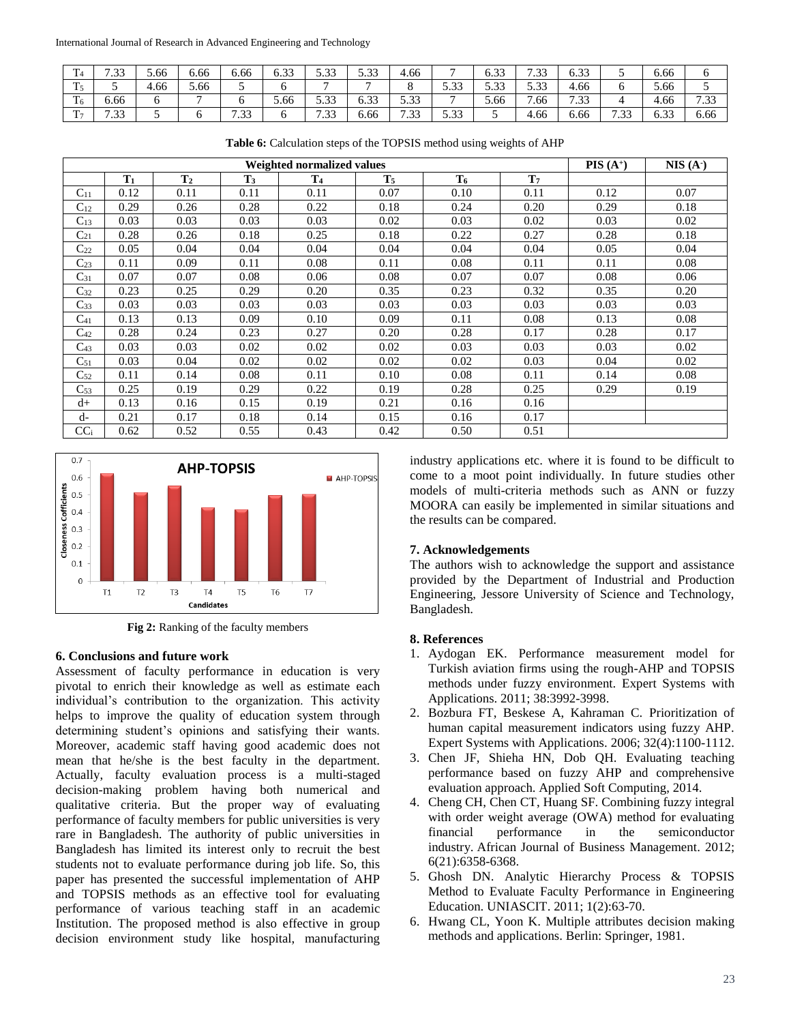| $\mathbf{r}$<br>- 14 | $\sqrt{2}$                          | 5.66 | 6.66 | 6.66 | $\sim$ 00<br>u. j | - הר<br>J.IJ      | <u>= ລລ</u><br>J.JJ      | 4.66              |                              | $\sim$ 0.0<br>0.33 | $\sqrt{2}$<br>ر ر . | $\sim$<br>0.33                                      |                   | 6.66               | O    |
|----------------------|-------------------------------------|------|------|------|-------------------|-------------------|--------------------------|-------------------|------------------------------|--------------------|---------------------|-----------------------------------------------------|-------------------|--------------------|------|
| $\mathbf{m}$<br>. .  |                                     | 4.66 | 5.66 |      |                   |                   | $\overline{\phantom{0}}$ |                   | $\sim$ 00<br>$\prec$<br>ر.ر. | $\sim$ 00<br>J.JJ  | $\sim$ 00<br>ر.     | 4.66                                                |                   | 5.66               |      |
| $\mathbf{m}$<br>10   | 6.66                                |      |      |      | 5.66              | $\sim$<br>J.IJ    | $\sim$<br>u. j j         | $\sim$ 00<br>J.IJ | $\overline{\phantom{0}}$     | 5.66               | .66                 | $\overline{\phantom{0}}$<br>$. \neg \neg$<br>. . 33 |                   | $\sim$<br>1.00     | 7.33 |
| $\mathbf{m}$         | $\sqrt{2}$<br>$\rightarrow$<br>ر ب. | ◡    |      | 7.33 |                   | $\Omega$<br>دد. ا | 6.66                     | 722<br>. . 33     | 5 33<br>ر                    |                    | 4.66                | 6.66                                                | $\sqrt{2}$<br>ر ر | $\sim$ 0.0<br>0.33 | 6.66 |

**Table 6:** Calculation steps of the TOPSIS method using weights of AHP

|                   |       |                |                | Weighted normalized values |       |                |                | $PIS(A^+)$ | NIS(A <sup>2</sup> ) |
|-------------------|-------|----------------|----------------|----------------------------|-------|----------------|----------------|------------|----------------------|
|                   | $T_1$ | T <sub>2</sub> | T <sub>3</sub> | T <sub>4</sub>             | $T_5$ | T <sub>6</sub> | T <sub>7</sub> |            |                      |
| $C_{11}$          | 0.12  | 0.11           | 0.11           | 0.11                       | 0.07  | 0.10           | 0.11           | 0.12       | 0.07                 |
| $\mathrm{C}_{12}$ | 0.29  | 0.26           | 0.28           | 0.22                       | 0.18  | 0.24           | 0.20           | 0.29       | 0.18                 |
| $C_{13}$          | 0.03  | 0.03           | 0.03           | 0.03                       | 0.02  | 0.03           | 0.02           | 0.03       | 0.02                 |
| $C_{21}$          | 0.28  | 0.26           | 0.18           | 0.25                       | 0.18  | 0.22           | 0.27           | 0.28       | 0.18                 |
| $C_{22}$          | 0.05  | 0.04           | 0.04           | 0.04                       | 0.04  | 0.04           | 0.04           | 0.05       | 0.04                 |
| $C_{23}$          | 0.11  | 0.09           | 0.11           | 0.08                       | 0.11  | 0.08           | 0.11           | 0.11       | 0.08                 |
| $C_{31}$          | 0.07  | 0.07           | 0.08           | 0.06                       | 0.08  | 0.07           | 0.07           | 0.08       | 0.06                 |
| $C_{32}$          | 0.23  | 0.25           | 0.29           | 0.20                       | 0.35  | 0.23           | 0.32           | 0.35       | 0.20                 |
| $C_{33}$          | 0.03  | 0.03           | 0.03           | 0.03                       | 0.03  | 0.03           | 0.03           | 0.03       | 0.03                 |
| $\mathrm{C}_{41}$ | 0.13  | 0.13           | 0.09           | 0.10                       | 0.09  | 0.11           | 0.08           | 0.13       | 0.08                 |
| $\mathrm{C}_{42}$ | 0.28  | 0.24           | 0.23           | 0.27                       | 0.20  | 0.28           | 0.17           | 0.28       | 0.17                 |
| $C_{43}$          | 0.03  | 0.03           | 0.02           | 0.02                       | 0.02  | 0.03           | 0.03           | 0.03       | 0.02                 |
| $C_{51}$          | 0.03  | 0.04           | 0.02           | 0.02                       | 0.02  | 0.02           | 0.03           | 0.04       | 0.02                 |
| $\mathrm{C}_{52}$ | 0.11  | 0.14           | 0.08           | 0.11                       | 0.10  | 0.08           | 0.11           | 0.14       | 0.08                 |
| $C_{53}$          | 0.25  | 0.19           | 0.29           | 0.22                       | 0.19  | 0.28           | 0.25           | 0.29       | 0.19                 |
| $d+$              | 0.13  | 0.16           | 0.15           | 0.19                       | 0.21  | 0.16           | 0.16           |            |                      |
| d-                | 0.21  | 0.17           | 0.18           | 0.14                       | 0.15  | 0.16           | 0.17           |            |                      |
| CC <sub>i</sub>   | 0.62  | 0.52           | 0.55           | 0.43                       | 0.42  | 0.50           | 0.51           |            |                      |



**Fig 2:** Ranking of the faculty members

## **6. Conclusions and future work**

Assessment of faculty performance in education is very pivotal to enrich their knowledge as well as estimate each individual's contribution to the organization. This activity helps to improve the quality of education system through determining student's opinions and satisfying their wants. Moreover, academic staff having good academic does not mean that he/she is the best faculty in the department. Actually, faculty evaluation process is a multi-staged decision-making problem having both numerical and qualitative criteria. But the proper way of evaluating performance of faculty members for public universities is very rare in Bangladesh. The authority of public universities in Bangladesh has limited its interest only to recruit the best students not to evaluate performance during job life. So, this paper has presented the successful implementation of AHP and TOPSIS methods as an effective tool for evaluating performance of various teaching staff in an academic Institution. The proposed method is also effective in group decision environment study like hospital, manufacturing

industry applications etc. where it is found to be difficult to come to a moot point individually. In future studies other models of multi-criteria methods such as ANN or fuzzy MOORA can easily be implemented in similar situations and the results can be compared.

## **7. Acknowledgements**

The authors wish to acknowledge the support and assistance provided by the Department of Industrial and Production Engineering, Jessore University of Science and Technology, Bangladesh.

## **8. References**

- 1. Aydogan EK. Performance measurement model for Turkish aviation firms using the rough-AHP and TOPSIS methods under fuzzy environment. Expert Systems with Applications. 2011; 38:3992-3998.
- 2. Bozbura FT, Beskese A, Kahraman C. Prioritization of human capital measurement indicators using fuzzy AHP. Expert Systems with Applications. 2006; 32(4):1100-1112.
- 3. Chen JF, Shieha HN, Dob QH. Evaluating teaching performance based on fuzzy AHP and comprehensive evaluation approach. Applied Soft Computing, 2014.
- 4. Cheng CH, Chen CT, Huang SF. Combining fuzzy integral with order weight average (OWA) method for evaluating financial performance in the semiconductor industry. African Journal of Business Management. 2012; 6(21):6358-6368.
- 5. Ghosh DN. Analytic Hierarchy Process & TOPSIS Method to Evaluate Faculty Performance in Engineering Education. UNIASCIT. 2011; 1(2):63-70.
- 6. Hwang CL, Yoon K. Multiple attributes decision making methods and applications. Berlin: Springer, 1981.